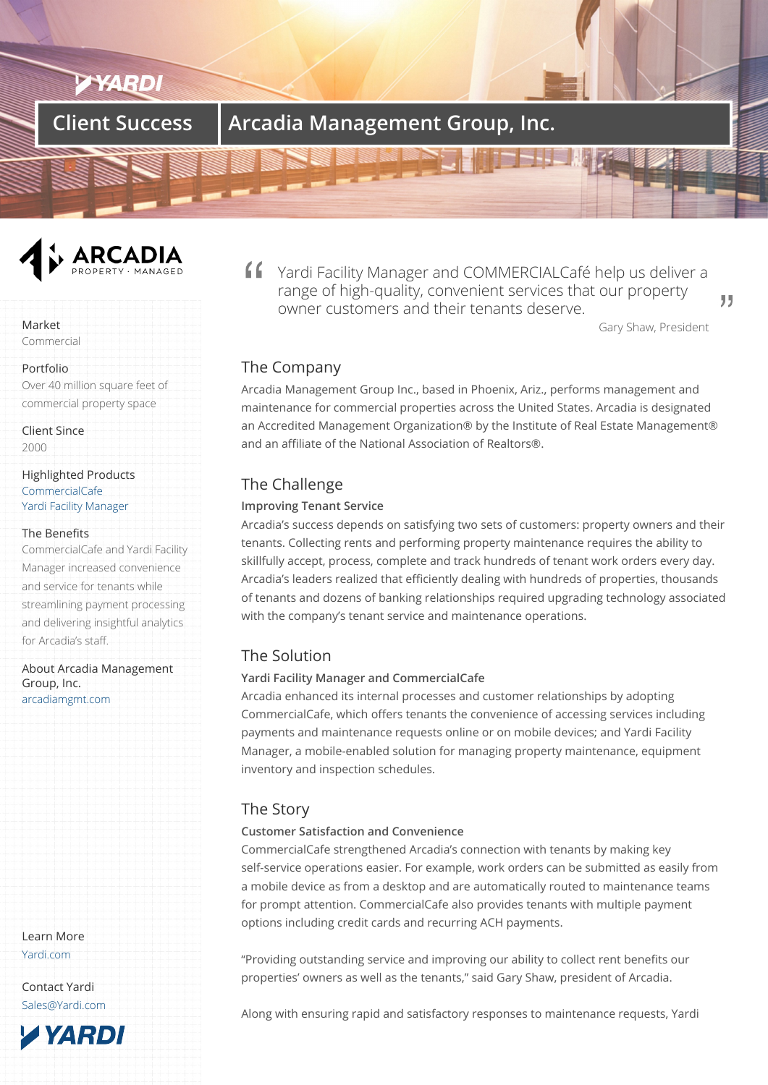# **Client Success | Arcadia Management Group, Inc.**



Market

Commercial

Portfolio

Over 40 million square feet of commercial property space

Client Since 2000

Highlighted Products **CommercialCafe** Yardi Facility Manager

#### The Benefits

[CommercialCafe](/products/commercialcafe) and Yardi Facility [Manager increased co](/products/facility-manager/)nvenience and service for tenants while streamlining payment processing and delivering insightful analytics for Arcadia's staff.

About Arcadia Management Group, Inc. arcadiamgmt.com

Learn More Yardi.com

Contact Yardi Sales@Yardi.com

**TYARDI** 

Yardi Facility Manager and COMMERCIALCafé help us deliver a range of high-quality, convenient services that our property owner customers and their tenants deserve.

Gary Shaw, President

99

## The Company

Arcadia Management Group Inc., based in Phoenix, Ariz., performs management and maintenance for commercial properties across the United States. Arcadia is designated an Accredited Management Organization® by the Institute of Real Estate Management® and an affiliate of the National Association of Realtors®.

# The Challenge

#### **Improving Tenant Service**

Arcadia's success depends on satisfying two sets of customers: property owners and their tenants. Collecting rents and performing property maintenance requires the ability to skillfully accept, process, complete and track hundreds of tenant work orders every day. Arcadia's leaders realized that efficiently dealing with hundreds of properties, thousands of tenants and dozens of banking relationships required upgrading technology associated with the company's tenant service and maintenance operations.

## The Solution

### **Yardi Facility Manager and CommercialCafe**

Arcadia enhanced its internal processes and customer relationships by adopting CommercialCafe, which offers tenants the convenience of accessing services including payments and maintenance requests online or on mobile devices; and Yardi Facility Manager, a mobile-enabled solution for managing property maintenance, equipment inventory and inspection schedules.

## The Story

### **Customer Satisfaction and Convenience**

CommercialCafe strengthened Arcadia's connection with tenants by making key self-service operations easier. For example, work orders can be submitted as easily from a mobile device as from a desktop and are automatically routed to maintenance teams for prompt attention. CommercialCafe also provides tenants with multiple payment options including credit cards and recurring ACH payments.

"Providing outstanding service and improving our ability to collect rent benefits our properties' owners as well as the tenants," said Gary Shaw, president of Arcadia.

Along with ensuring rapid and satisfactory responses to maintenance requests, Yardi